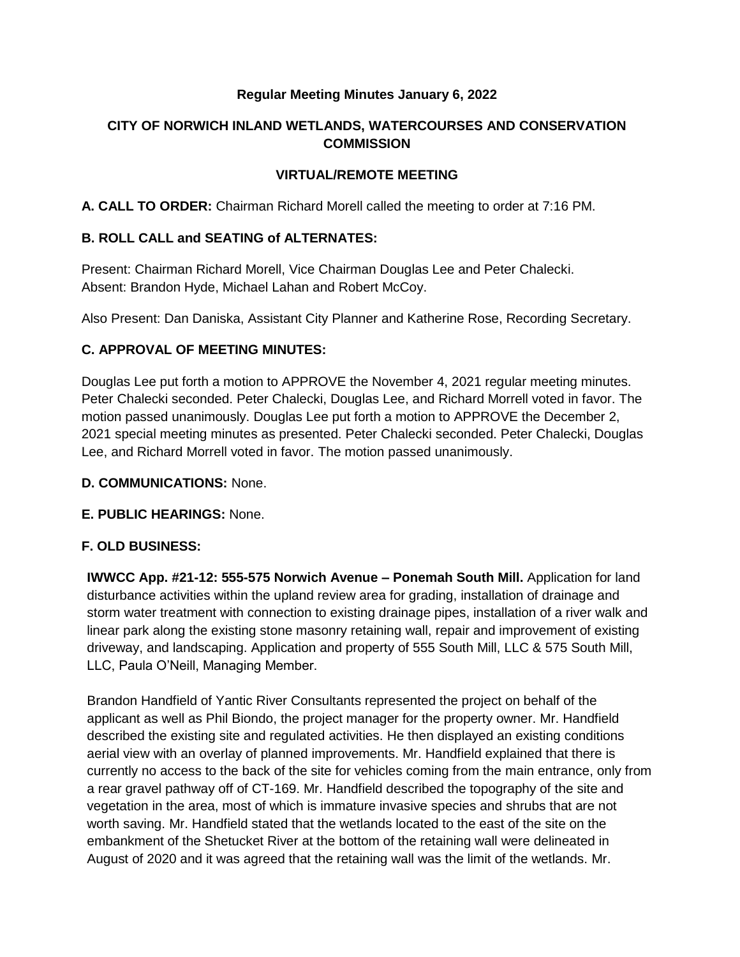## **Regular Meeting Minutes January 6, 2022**

# **CITY OF NORWICH INLAND WETLANDS, WATERCOURSES AND CONSERVATION COMMISSION**

## **VIRTUAL/REMOTE MEETING**

**A. CALL TO ORDER:** Chairman Richard Morell called the meeting to order at 7:16 PM.

## **B. ROLL CALL and SEATING of ALTERNATES:**

Present: Chairman Richard Morell, Vice Chairman Douglas Lee and Peter Chalecki. Absent: Brandon Hyde, Michael Lahan and Robert McCoy.

Also Present: Dan Daniska, Assistant City Planner and Katherine Rose, Recording Secretary.

## **C. APPROVAL OF MEETING MINUTES:**

Douglas Lee put forth a motion to APPROVE the November 4, 2021 regular meeting minutes. Peter Chalecki seconded. Peter Chalecki, Douglas Lee, and Richard Morrell voted in favor. The motion passed unanimously. Douglas Lee put forth a motion to APPROVE the December 2, 2021 special meeting minutes as presented. Peter Chalecki seconded. Peter Chalecki, Douglas Lee, and Richard Morrell voted in favor. The motion passed unanimously.

#### **D. COMMUNICATIONS:** None.

#### **E. PUBLIC HEARINGS:** None.

# **F. OLD BUSINESS:**

**IWWCC App. #21-12: 555-575 Norwich Avenue – Ponemah South Mill.** Application for land disturbance activities within the upland review area for grading, installation of drainage and storm water treatment with connection to existing drainage pipes, installation of a river walk and linear park along the existing stone masonry retaining wall, repair and improvement of existing driveway, and landscaping. Application and property of 555 South Mill, LLC & 575 South Mill, LLC, Paula O'Neill, Managing Member.

Brandon Handfield of Yantic River Consultants represented the project on behalf of the applicant as well as Phil Biondo, the project manager for the property owner. Mr. Handfield described the existing site and regulated activities. He then displayed an existing conditions aerial view with an overlay of planned improvements. Mr. Handfield explained that there is currently no access to the back of the site for vehicles coming from the main entrance, only from a rear gravel pathway off of CT-169. Mr. Handfield described the topography of the site and vegetation in the area, most of which is immature invasive species and shrubs that are not worth saving. Mr. Handfield stated that the wetlands located to the east of the site on the embankment of the Shetucket River at the bottom of the retaining wall were delineated in August of 2020 and it was agreed that the retaining wall was the limit of the wetlands. Mr.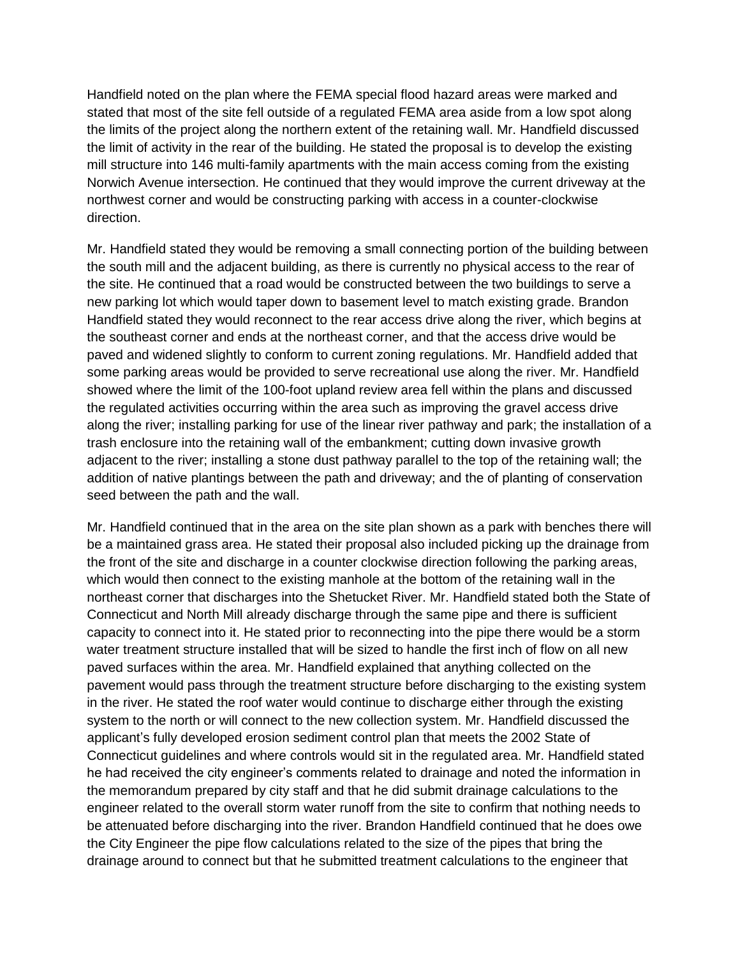Handfield noted on the plan where the FEMA special flood hazard areas were marked and stated that most of the site fell outside of a regulated FEMA area aside from a low spot along the limits of the project along the northern extent of the retaining wall. Mr. Handfield discussed the limit of activity in the rear of the building. He stated the proposal is to develop the existing mill structure into 146 multi-family apartments with the main access coming from the existing Norwich Avenue intersection. He continued that they would improve the current driveway at the northwest corner and would be constructing parking with access in a counter-clockwise direction.

Mr. Handfield stated they would be removing a small connecting portion of the building between the south mill and the adjacent building, as there is currently no physical access to the rear of the site. He continued that a road would be constructed between the two buildings to serve a new parking lot which would taper down to basement level to match existing grade. Brandon Handfield stated they would reconnect to the rear access drive along the river, which begins at the southeast corner and ends at the northeast corner, and that the access drive would be paved and widened slightly to conform to current zoning regulations. Mr. Handfield added that some parking areas would be provided to serve recreational use along the river. Mr. Handfield showed where the limit of the 100-foot upland review area fell within the plans and discussed the regulated activities occurring within the area such as improving the gravel access drive along the river; installing parking for use of the linear river pathway and park; the installation of a trash enclosure into the retaining wall of the embankment; cutting down invasive growth adjacent to the river; installing a stone dust pathway parallel to the top of the retaining wall; the addition of native plantings between the path and driveway; and the of planting of conservation seed between the path and the wall.

Mr. Handfield continued that in the area on the site plan shown as a park with benches there will be a maintained grass area. He stated their proposal also included picking up the drainage from the front of the site and discharge in a counter clockwise direction following the parking areas, which would then connect to the existing manhole at the bottom of the retaining wall in the northeast corner that discharges into the Shetucket River. Mr. Handfield stated both the State of Connecticut and North Mill already discharge through the same pipe and there is sufficient capacity to connect into it. He stated prior to reconnecting into the pipe there would be a storm water treatment structure installed that will be sized to handle the first inch of flow on all new paved surfaces within the area. Mr. Handfield explained that anything collected on the pavement would pass through the treatment structure before discharging to the existing system in the river. He stated the roof water would continue to discharge either through the existing system to the north or will connect to the new collection system. Mr. Handfield discussed the applicant's fully developed erosion sediment control plan that meets the 2002 State of Connecticut guidelines and where controls would sit in the regulated area. Mr. Handfield stated he had received the city engineer's comments related to drainage and noted the information in the memorandum prepared by city staff and that he did submit drainage calculations to the engineer related to the overall storm water runoff from the site to confirm that nothing needs to be attenuated before discharging into the river. Brandon Handfield continued that he does owe the City Engineer the pipe flow calculations related to the size of the pipes that bring the drainage around to connect but that he submitted treatment calculations to the engineer that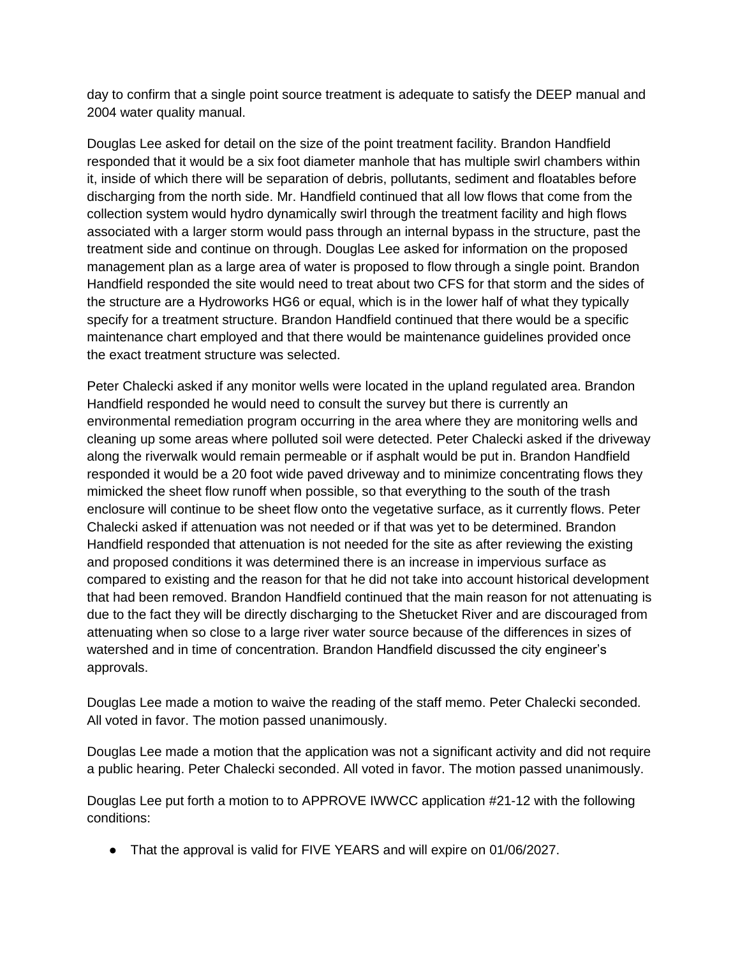day to confirm that a single point source treatment is adequate to satisfy the DEEP manual and 2004 water quality manual.

Douglas Lee asked for detail on the size of the point treatment facility. Brandon Handfield responded that it would be a six foot diameter manhole that has multiple swirl chambers within it, inside of which there will be separation of debris, pollutants, sediment and floatables before discharging from the north side. Mr. Handfield continued that all low flows that come from the collection system would hydro dynamically swirl through the treatment facility and high flows associated with a larger storm would pass through an internal bypass in the structure, past the treatment side and continue on through. Douglas Lee asked for information on the proposed management plan as a large area of water is proposed to flow through a single point. Brandon Handfield responded the site would need to treat about two CFS for that storm and the sides of the structure are a Hydroworks HG6 or equal, which is in the lower half of what they typically specify for a treatment structure. Brandon Handfield continued that there would be a specific maintenance chart employed and that there would be maintenance guidelines provided once the exact treatment structure was selected.

Peter Chalecki asked if any monitor wells were located in the upland regulated area. Brandon Handfield responded he would need to consult the survey but there is currently an environmental remediation program occurring in the area where they are monitoring wells and cleaning up some areas where polluted soil were detected. Peter Chalecki asked if the driveway along the riverwalk would remain permeable or if asphalt would be put in. Brandon Handfield responded it would be a 20 foot wide paved driveway and to minimize concentrating flows they mimicked the sheet flow runoff when possible, so that everything to the south of the trash enclosure will continue to be sheet flow onto the vegetative surface, as it currently flows. Peter Chalecki asked if attenuation was not needed or if that was yet to be determined. Brandon Handfield responded that attenuation is not needed for the site as after reviewing the existing and proposed conditions it was determined there is an increase in impervious surface as compared to existing and the reason for that he did not take into account historical development that had been removed. Brandon Handfield continued that the main reason for not attenuating is due to the fact they will be directly discharging to the Shetucket River and are discouraged from attenuating when so close to a large river water source because of the differences in sizes of watershed and in time of concentration. Brandon Handfield discussed the city engineer's approvals.

Douglas Lee made a motion to waive the reading of the staff memo. Peter Chalecki seconded. All voted in favor. The motion passed unanimously.

Douglas Lee made a motion that the application was not a significant activity and did not require a public hearing. Peter Chalecki seconded. All voted in favor. The motion passed unanimously.

Douglas Lee put forth a motion to to APPROVE IWWCC application #21-12 with the following conditions:

● That the approval is valid for FIVE YEARS and will expire on 01/06/2027.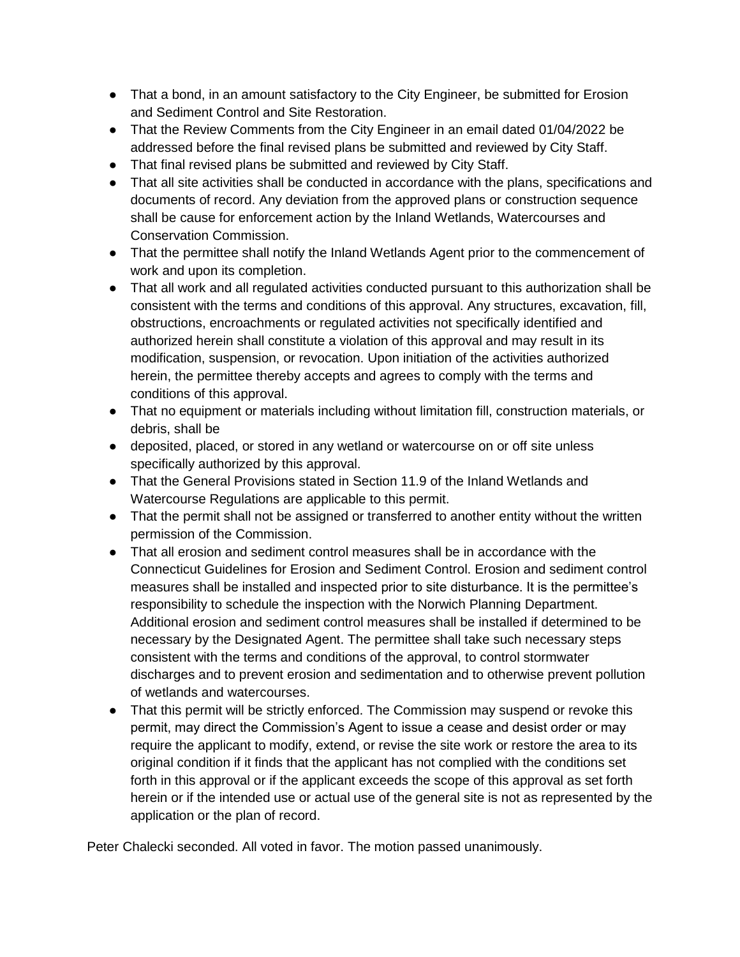- That a bond, in an amount satisfactory to the City Engineer, be submitted for Erosion and Sediment Control and Site Restoration.
- That the Review Comments from the City Engineer in an email dated 01/04/2022 be addressed before the final revised plans be submitted and reviewed by City Staff.
- That final revised plans be submitted and reviewed by City Staff.
- That all site activities shall be conducted in accordance with the plans, specifications and documents of record. Any deviation from the approved plans or construction sequence shall be cause for enforcement action by the Inland Wetlands, Watercourses and Conservation Commission.
- That the permittee shall notify the Inland Wetlands Agent prior to the commencement of work and upon its completion.
- That all work and all regulated activities conducted pursuant to this authorization shall be consistent with the terms and conditions of this approval. Any structures, excavation, fill, obstructions, encroachments or regulated activities not specifically identified and authorized herein shall constitute a violation of this approval and may result in its modification, suspension, or revocation. Upon initiation of the activities authorized herein, the permittee thereby accepts and agrees to comply with the terms and conditions of this approval.
- That no equipment or materials including without limitation fill, construction materials, or debris, shall be
- deposited, placed, or stored in any wetland or watercourse on or off site unless specifically authorized by this approval.
- That the General Provisions stated in Section 11.9 of the Inland Wetlands and Watercourse Regulations are applicable to this permit.
- That the permit shall not be assigned or transferred to another entity without the written permission of the Commission.
- That all erosion and sediment control measures shall be in accordance with the Connecticut Guidelines for Erosion and Sediment Control. Erosion and sediment control measures shall be installed and inspected prior to site disturbance. It is the permittee's responsibility to schedule the inspection with the Norwich Planning Department. Additional erosion and sediment control measures shall be installed if determined to be necessary by the Designated Agent. The permittee shall take such necessary steps consistent with the terms and conditions of the approval, to control stormwater discharges and to prevent erosion and sedimentation and to otherwise prevent pollution of wetlands and watercourses.
- That this permit will be strictly enforced. The Commission may suspend or revoke this permit, may direct the Commission's Agent to issue a cease and desist order or may require the applicant to modify, extend, or revise the site work or restore the area to its original condition if it finds that the applicant has not complied with the conditions set forth in this approval or if the applicant exceeds the scope of this approval as set forth herein or if the intended use or actual use of the general site is not as represented by the application or the plan of record.

Peter Chalecki seconded. All voted in favor. The motion passed unanimously.